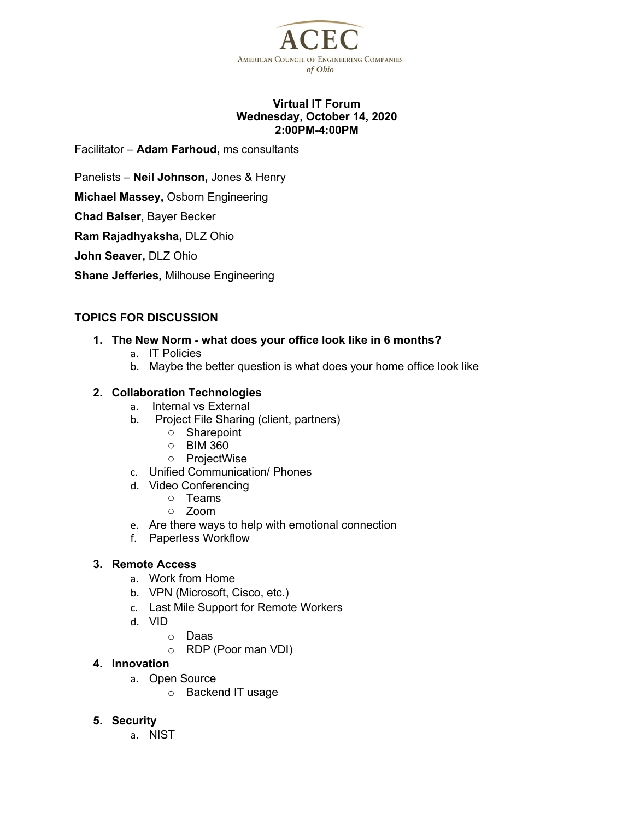

### **Virtual IT Forum Wednesday, October 14, 2020 2:00PM-4:00PM**

Facilitator – **Adam Farhoud,** ms consultants

Panelists – **Neil Johnson,** Jones & Henry

**Michael Massey,** Osborn Engineering

**Chad Balser,** Bayer Becker

**Ram Rajadhyaksha,** DLZ Ohio

**John Seaver,** DLZ Ohio

**Shane Jefferies,** Milhouse Engineering

## **TOPICS FOR DISCUSSION**

#### **1. The New Norm - what does your office look like in 6 months?**

- a. IT Policies
- b. Maybe the better question is what does your home office look like

## **2. Collaboration Technologies**

- a. Internal vs External
- b. Project File Sharing (client, partners)
	- o Sharepoint
	- o BIM 360
	- o ProjectWise
- c. Unified Communication/ Phones
- d. Video Conferencing
	- o Teams
	- o Zoom
- e. Are there ways to help with emotional connection
- f. Paperless Workflow

#### **3. Remote Access**

- a. Work from Home
- b. VPN (Microsoft, Cisco, etc.)
- c. Last Mile Support for Remote Workers
- d. VID
	- o Daas
	- o RDP (Poor man VDI)

## **4. Innovation**

- a. Open Source
	- o Backend IT usage
- **5. Security**
	- a. NIST